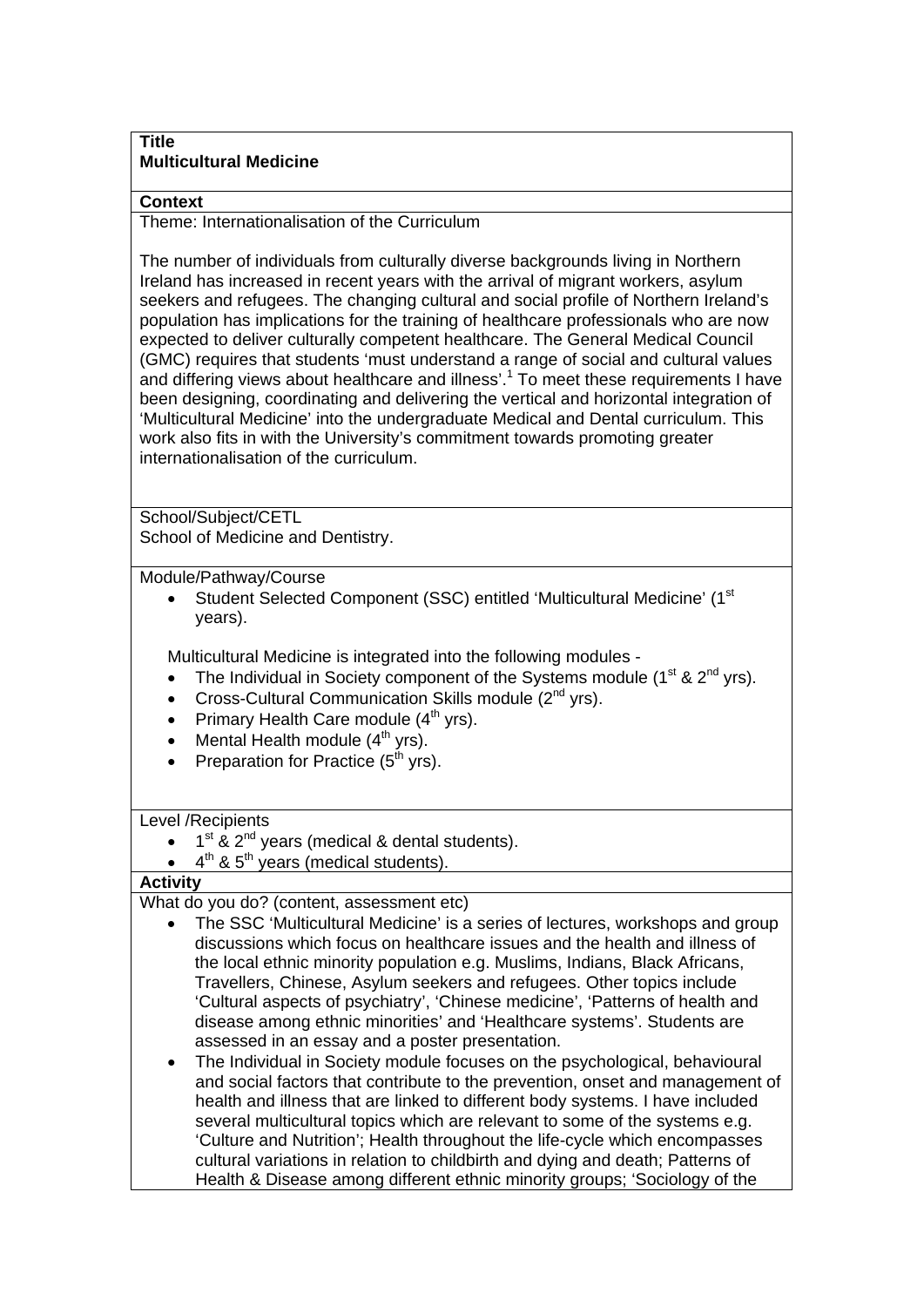## **Title Multicultural Medicine**

## **Context**

Theme: Internationalisation of the Curriculum

The number of individuals from culturally diverse backgrounds living in Northern Ireland has increased in recent years with the arrival of migrant workers, asylum seekers and refugees. The changing cultural and social profile of Northern Ireland's population has implications for the training of healthcare professionals who are now expected to deliver culturally competent healthcare. The General Medical Council (GMC) requires that students 'must understand a range of social and cultural values and differing views about healthcare and illness'.<sup>1</sup> To meet these requirements I have been designing, coordinating and delivering the vertical and horizontal integration of 'Multicultural Medicine' into the undergraduate Medical and Dental curriculum. This work also fits in with the University's commitment towards promoting greater internationalisation of the curriculum.

School/Subject/CETL School of Medicine and Dentistry.

Module/Pathway/Course

Student Selected Component (SSC) entitled 'Multicultural Medicine' (1<sup>st</sup>) years).

Multicultural Medicine is integrated into the following modules -

- The Individual in Society component of the Systems module (1<sup>st</sup> & 2<sup>nd</sup> yrs).
- Cross-Cultural Communication Skills module (2<sup>nd</sup> yrs).
- Primary Health Care module (4<sup>th</sup> yrs).
- Mental Health module  $(4^{th} \text{ yrs})$ .
- Preparation for Practice  $(5<sup>th</sup> vrs)$ .

Level /Recipients

- $1<sup>st</sup>$  &  $2<sup>nd</sup>$  years (medical & dental students).
- $4<sup>th</sup>$  &  $5<sup>th</sup>$  years (medical students).

## **Activity**

What do you do? (content, assessment etc)

- The SSC 'Multicultural Medicine' is a series of lectures, workshops and group discussions which focus on healthcare issues and the health and illness of the local ethnic minority population e.g. Muslims, Indians, Black Africans, Travellers, Chinese, Asylum seekers and refugees. Other topics include 'Cultural aspects of psychiatry', 'Chinese medicine', 'Patterns of health and disease among ethnic minorities' and 'Healthcare systems'. Students are assessed in an essay and a poster presentation.
- The Individual in Society module focuses on the psychological, behavioural and social factors that contribute to the prevention, onset and management of health and illness that are linked to different body systems. I have included several multicultural topics which are relevant to some of the systems e.g. 'Culture and Nutrition'; Health throughout the life-cycle which encompasses cultural variations in relation to childbirth and dying and death; Patterns of Health & Disease among different ethnic minority groups; 'Sociology of the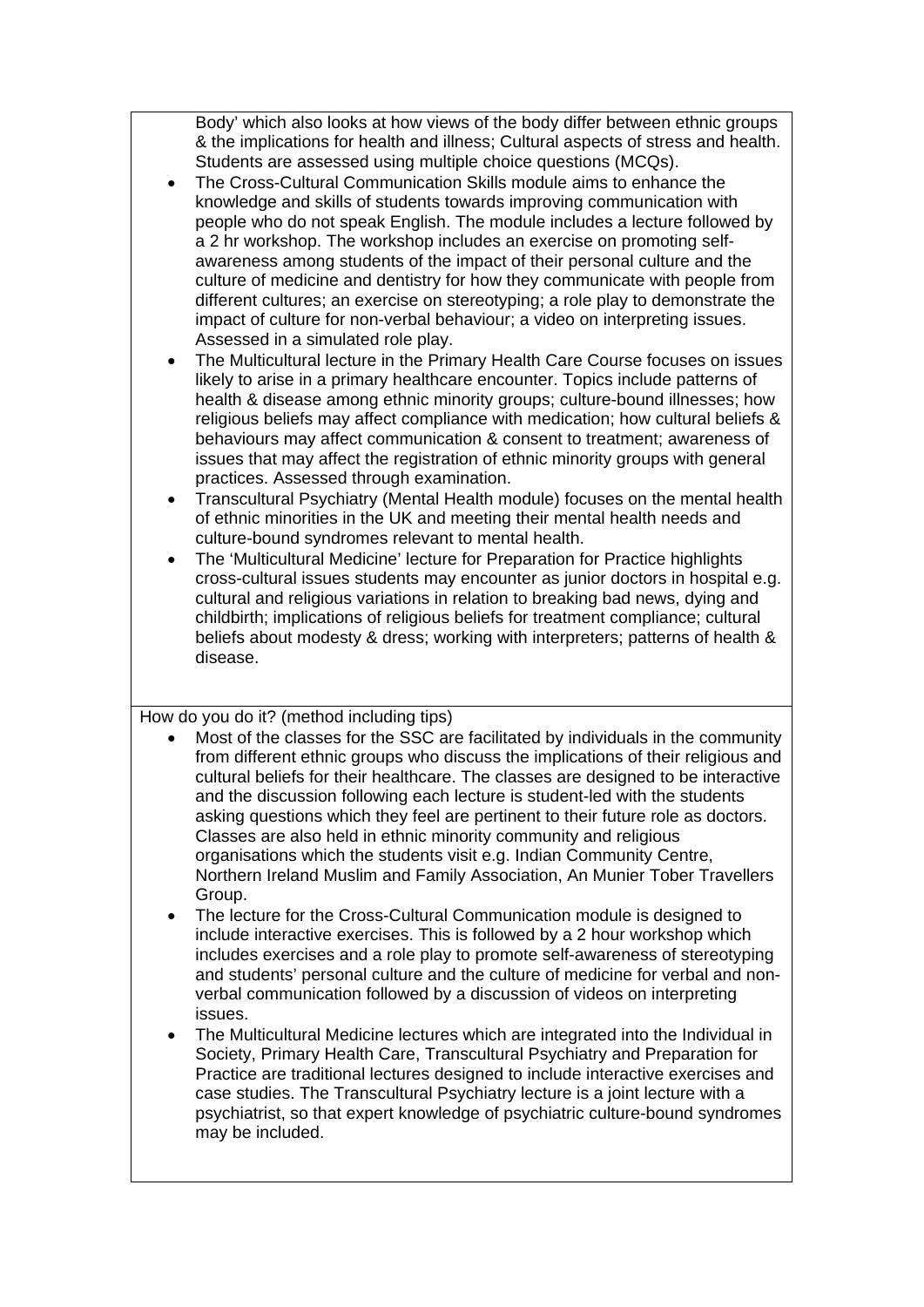Body' which also looks at how views of the body differ between ethnic groups & the implications for health and illness; Cultural aspects of stress and health. Students are assessed using multiple choice questions (MCQs).

- The Cross-Cultural Communication Skills module aims to enhance the knowledge and skills of students towards improving communication with people who do not speak English. The module includes a lecture followed by a 2 hr workshop. The workshop includes an exercise on promoting selfawareness among students of the impact of their personal culture and the culture of medicine and dentistry for how they communicate with people from different cultures; an exercise on stereotyping; a role play to demonstrate the impact of culture for non-verbal behaviour; a video on interpreting issues. Assessed in a simulated role play.
- The Multicultural lecture in the Primary Health Care Course focuses on issues likely to arise in a primary healthcare encounter. Topics include patterns of health & disease among ethnic minority groups; culture-bound illnesses; how religious beliefs may affect compliance with medication; how cultural beliefs & behaviours may affect communication & consent to treatment; awareness of issues that may affect the registration of ethnic minority groups with general practices. Assessed through examination.
- Transcultural Psychiatry (Mental Health module) focuses on the mental health of ethnic minorities in the UK and meeting their mental health needs and culture-bound syndromes relevant to mental health.
- The 'Multicultural Medicine' lecture for Preparation for Practice highlights cross-cultural issues students may encounter as junior doctors in hospital e.g. cultural and religious variations in relation to breaking bad news, dying and childbirth; implications of religious beliefs for treatment compliance; cultural beliefs about modesty & dress; working with interpreters; patterns of health & disease.

How do you do it? (method including tips)

- Most of the classes for the SSC are facilitated by individuals in the community from different ethnic groups who discuss the implications of their religious and cultural beliefs for their healthcare. The classes are designed to be interactive and the discussion following each lecture is student-led with the students asking questions which they feel are pertinent to their future role as doctors. Classes are also held in ethnic minority community and religious organisations which the students visit e.g. Indian Community Centre, Northern Ireland Muslim and Family Association, An Munier Tober Travellers Group.
- The lecture for the Cross-Cultural Communication module is designed to include interactive exercises. This is followed by a 2 hour workshop which includes exercises and a role play to promote self-awareness of stereotyping and students' personal culture and the culture of medicine for verbal and nonverbal communication followed by a discussion of videos on interpreting issues.
- The Multicultural Medicine lectures which are integrated into the Individual in Society, Primary Health Care, Transcultural Psychiatry and Preparation for Practice are traditional lectures designed to include interactive exercises and case studies. The Transcultural Psychiatry lecture is a joint lecture with a psychiatrist, so that expert knowledge of psychiatric culture-bound syndromes may be included.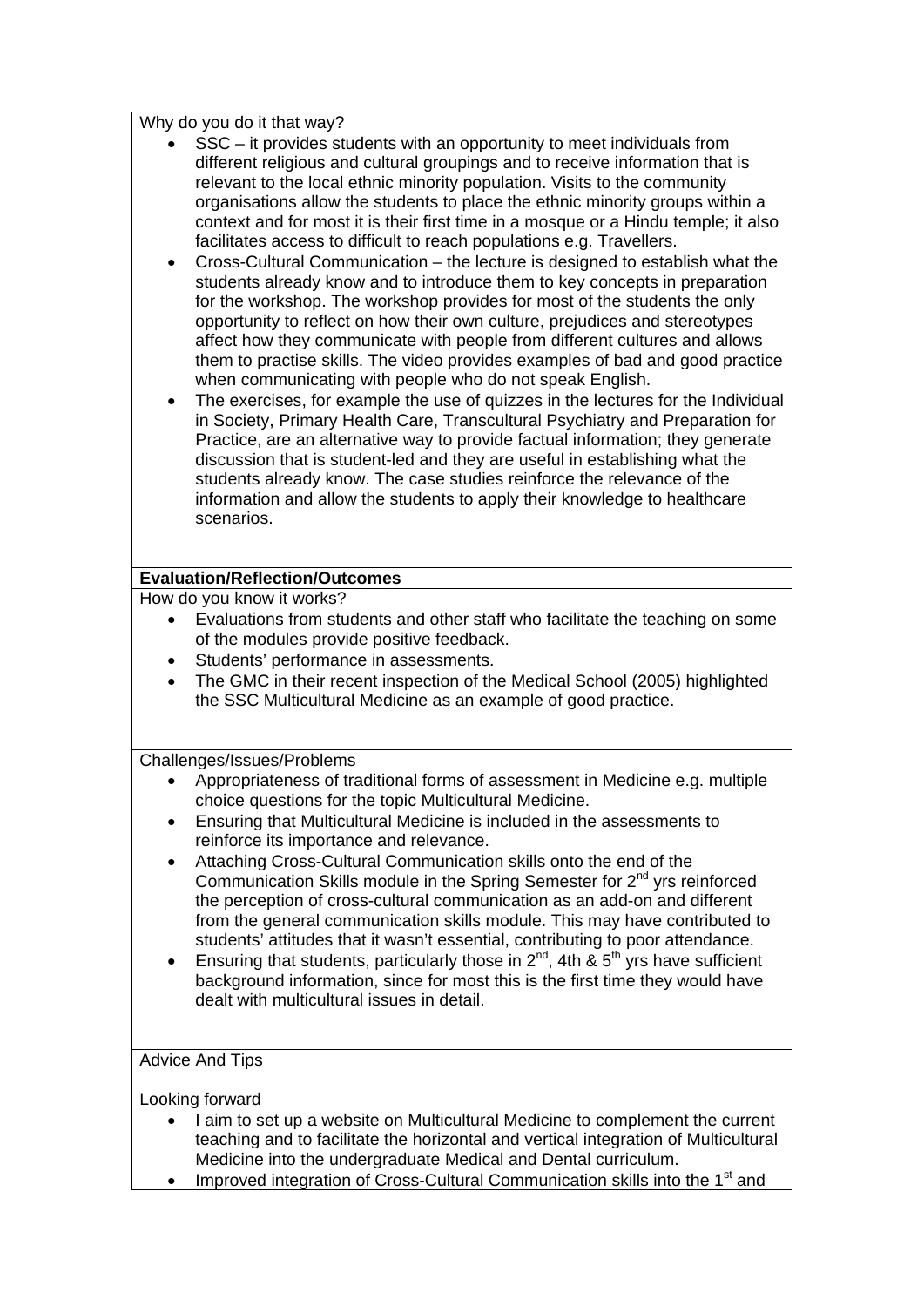Why do you do it that way?

- SSC it provides students with an opportunity to meet individuals from different religious and cultural groupings and to receive information that is relevant to the local ethnic minority population. Visits to the community organisations allow the students to place the ethnic minority groups within a context and for most it is their first time in a mosque or a Hindu temple; it also facilitates access to difficult to reach populations e.g. Travellers.
- Cross-Cultural Communication the lecture is designed to establish what the students already know and to introduce them to key concepts in preparation for the workshop. The workshop provides for most of the students the only opportunity to reflect on how their own culture, prejudices and stereotypes affect how they communicate with people from different cultures and allows them to practise skills. The video provides examples of bad and good practice when communicating with people who do not speak English.
- The exercises, for example the use of quizzes in the lectures for the Individual in Society, Primary Health Care, Transcultural Psychiatry and Preparation for Practice, are an alternative way to provide factual information; they generate discussion that is student-led and they are useful in establishing what the students already know. The case studies reinforce the relevance of the information and allow the students to apply their knowledge to healthcare scenarios.

## **Evaluation/Reflection/Outcomes**

How do you know it works?

- Evaluations from students and other staff who facilitate the teaching on some of the modules provide positive feedback.
- Students' performance in assessments.
- The GMC in their recent inspection of the Medical School (2005) highlighted the SSC Multicultural Medicine as an example of good practice.

Challenges/Issues/Problems

- Appropriateness of traditional forms of assessment in Medicine e.g. multiple choice questions for the topic Multicultural Medicine.
- Ensuring that Multicultural Medicine is included in the assessments to reinforce its importance and relevance.
- Attaching Cross-Cultural Communication skills onto the end of the Communication Skills module in the Spring Semester for 2<sup>nd</sup> yrs reinforced the perception of cross-cultural communication as an add-on and different from the general communication skills module. This may have contributed to students' attitudes that it wasn't essential, contributing to poor attendance.
- Ensuring that students, particularly those in  $2^{nd}$ , 4th  $8.5^{th}$  yrs have sufficient background information, since for most this is the first time they would have dealt with multicultural issues in detail.

Advice And Tips

Looking forward

- I aim to set up a website on Multicultural Medicine to complement the current teaching and to facilitate the horizontal and vertical integration of Multicultural Medicine into the undergraduate Medical and Dental curriculum.
- Improved integration of Cross-Cultural Communication skills into the 1<sup>st</sup> and